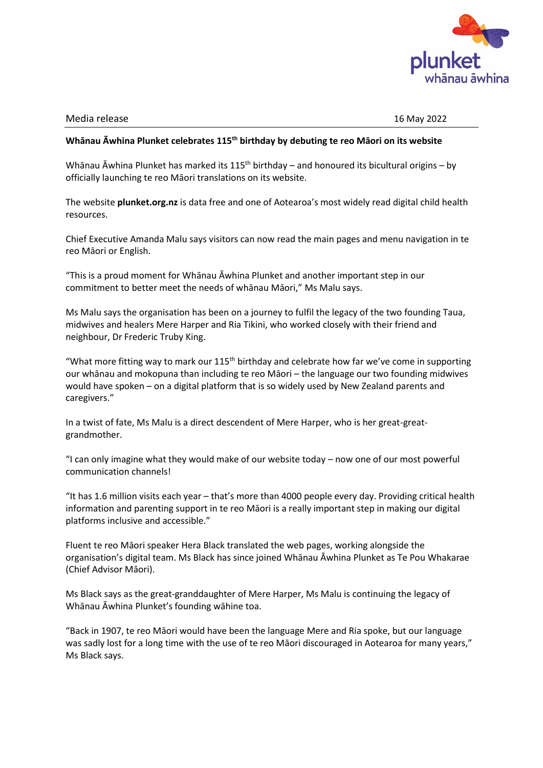

## Media release 16 May 2022

## **Whānau Āwhina Plunket celebrates 115th birthday by debuting te reo Māori on its website**

Whānau Āwhina Plunket has marked its  $115<sup>th</sup>$  birthday – and honoured its bicultural origins – by officially launching te reo Māori translations on its website.

The website **plunket.org.nz** is data free and one of Aotearoa's most widely read digital child health resources.

Chief Executive Amanda Malu says visitors can now read the main pages and menu navigation in te reo Māori or English.

"This is a proud moment for Whānau Āwhina Plunket and another important step in our commitment to better meet the needs of whānau Māori," Ms Malu says.

Ms Malu says the organisation has been on a journey to fulfil the legacy of the two founding Taua, midwives and healers Mere Harper and Ria Tikini, who worked closely with their friend and neighbour, Dr Frederic Truby King.

"What more fitting way to mark our  $115<sup>th</sup>$  birthday and celebrate how far we've come in supporting our whānau and mokopuna than including te reo Māori – the language our two founding midwives would have spoken – on a digital platform that is so widely used by New Zealand parents and caregivers."

In a twist of fate, Ms Malu is a direct descendent of Mere Harper, who is her great-greatgrandmother.

"I can only imagine what they would make of our website today – now one of our most powerful communication channels!

"It has 1.6 million visits each year – that's more than 4000 people every day. Providing critical health information and parenting support in te reo Māori is a really important step in making our digital platforms inclusive and accessible."

Fluent te reo Māori speaker Hera Black translated the web pages, working alongside the organisation's digital team. Ms Black has since joined Whānau Āwhina Plunket as Te Pou Whakarae (Chief Advisor Māori).

Ms Black says as the great-granddaughter of Mere Harper, Ms Malu is continuing the legacy of Whānau Āwhina Plunket's founding wāhine toa.

"Back in 1907, te reo Māori would have been the language Mere and Ria spoke, but our language was sadly lost for a long time with the use of te reo Māori discouraged in Aotearoa for many years," Ms Black says.